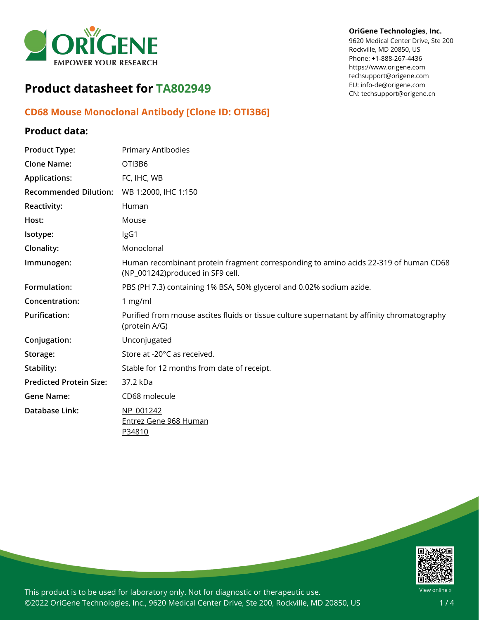

# **Product datasheet for TA802949**

## **CD68 Mouse Monoclonal Antibody [Clone ID: OTI3B6]**

### **Product data:**

| <b>Product Type:</b>           | Primary Antibodies                                                                                                       |
|--------------------------------|--------------------------------------------------------------------------------------------------------------------------|
| <b>Clone Name:</b>             | OTI3B6                                                                                                                   |
| <b>Applications:</b>           | FC, IHC, WB                                                                                                              |
| <b>Recommended Dilution:</b>   | WB 1:2000, IHC 1:150                                                                                                     |
| <b>Reactivity:</b>             | Human                                                                                                                    |
| Host:                          | Mouse                                                                                                                    |
| Isotype:                       | IgG1                                                                                                                     |
| Clonality:                     | Monoclonal                                                                                                               |
| Immunogen:                     | Human recombinant protein fragment corresponding to amino acids 22-319 of human CD68<br>(NP_001242)produced in SF9 cell. |
| Formulation:                   | PBS (PH 7.3) containing 1% BSA, 50% glycerol and 0.02% sodium azide.                                                     |
| Concentration:                 | 1 mg/ml                                                                                                                  |
| <b>Purification:</b>           | Purified from mouse ascites fluids or tissue culture supernatant by affinity chromatography<br>(protein A/G)             |
| Conjugation:                   | Unconjugated                                                                                                             |
| Storage:                       | Store at -20°C as received.                                                                                              |
| Stability:                     | Stable for 12 months from date of receipt.                                                                               |
| <b>Predicted Protein Size:</b> | 37.2 kDa                                                                                                                 |
| <b>Gene Name:</b>              | CD68 molecule                                                                                                            |
| Database Link:                 | NP 001242<br><b>Entrez Gene 968 Human</b><br>P34810                                                                      |



This product is to be used for laboratory only. Not for diagnostic or therapeutic use. ©2022 OriGene Technologies, Inc., 9620 Medical Center Drive, Ste 200, Rockville, MD 20850, US

### **OriGene Technologies, Inc.**

9620 Medical Center Drive, Ste 200 Rockville, MD 20850, US Phone: +1-888-267-4436 https://www.origene.com techsupport@origene.com EU: info-de@origene.com CN: techsupport@origene.cn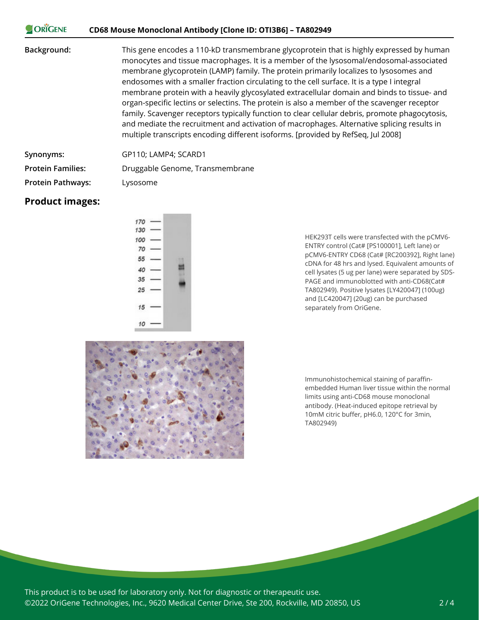#### ORIGENE **CD68 Mouse Monoclonal Antibody [Clone ID: OTI3B6] – TA802949**

**Background:** This gene encodes a 110-kD transmembrane glycoprotein that is highly expressed by human monocytes and tissue macrophages. It is a member of the lysosomal/endosomal-associated membrane glycoprotein (LAMP) family. The protein primarily localizes to lysosomes and endosomes with a smaller fraction circulating to the cell surface. It is a type I integral membrane protein with a heavily glycosylated extracellular domain and binds to tissue- and organ-specific lectins or selectins. The protein is also a member of the scavenger receptor family. Scavenger receptors typically function to clear cellular debris, promote phagocytosis, and mediate the recruitment and activation of macrophages. Alternative splicing results in multiple transcripts encoding different isoforms. [provided by RefSeq, Jul 2008]

**Synonyms:** GP110; LAMP4; SCARD1

**Protein Families:** Druggable Genome, Transmembrane

**Protein Pathways:** Lysosome

### **Product images:**

| ¢ |
|---|

HEK293T cells were transfected with the pCMV6- ENTRY control (Cat# [PS100001], Left lane) or pCMV6-ENTRY CD68 (Cat# [RC200392], Right lane) cDNA for 48 hrs and lysed. Equivalent amounts of cell lysates (5 ug per lane) were separated by SDS-PAGE and immunoblotted with anti-CD68(Cat# TA802949). Positive lysates [LY420047] (100ug) and [LC420047] (20ug) can be purchased separately from OriGene.



Immunohistochemical staining of paraffinembedded Human liver tissue within the normal limits using anti-CD68 mouse monoclonal antibody. (Heat-induced epitope retrieval by 10mM citric buffer, pH6.0, 120°C for 3min, TA802949)

This product is to be used for laboratory only. Not for diagnostic or therapeutic use. ©2022 OriGene Technologies, Inc., 9620 Medical Center Drive, Ste 200, Rockville, MD 20850, US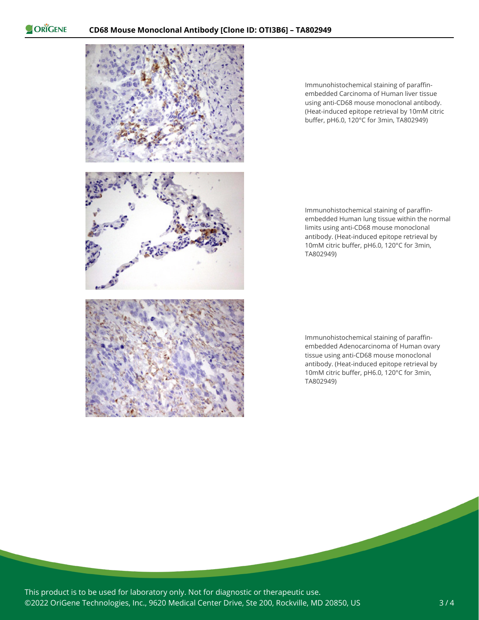ORIGENE



Immunohistochemical staining of paraffinembedded Carcinoma of Human liver tissue using anti-CD68 mouse monoclonal antibody. (Heat-induced epitope retrieval by 10mM citric buffer, pH6.0, 120°C for 3min, TA802949)

Immunohistochemical staining of paraffinembedded Human lung tissue within the normal limits using anti-CD68 mouse monoclonal antibody. (Heat-induced epitope retrieval by 10mM citric buffer, pH6.0, 120°C for 3min, TA802949)

Immunohistochemical staining of paraffinembedded Adenocarcinoma of Human ovary tissue using anti-CD68 mouse monoclonal antibody. (Heat-induced epitope retrieval by 10mM citric buffer, pH6.0, 120°C for 3min, TA802949)

This product is to be used for laboratory only. Not for diagnostic or therapeutic use. ©2022 OriGene Technologies, Inc., 9620 Medical Center Drive, Ste 200, Rockville, MD 20850, US